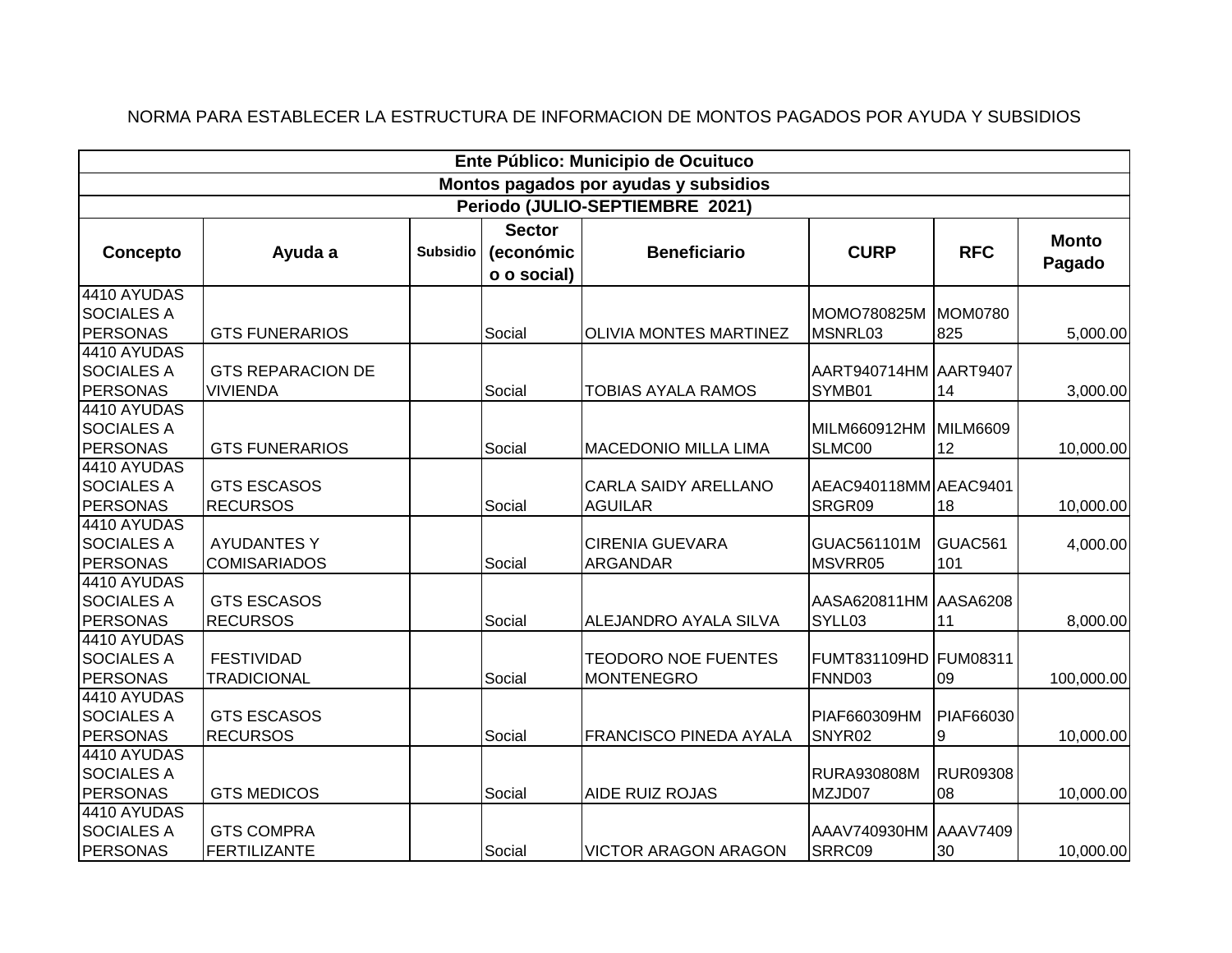| Ente Público: Municipio de Ocuituco                 |                                             |                 |                                           |                                                 |                                 |                       |                        |  |  |
|-----------------------------------------------------|---------------------------------------------|-----------------|-------------------------------------------|-------------------------------------------------|---------------------------------|-----------------------|------------------------|--|--|
| Montos pagados por ayudas y subsidios               |                                             |                 |                                           |                                                 |                                 |                       |                        |  |  |
| Periodo (JULIO-SEPTIEMBRE 2021)                     |                                             |                 |                                           |                                                 |                                 |                       |                        |  |  |
| Concepto                                            | Ayuda a                                     | <b>Subsidio</b> | <b>Sector</b><br>(económic<br>o o social) | <b>Beneficiario</b>                             | <b>CURP</b>                     | <b>RFC</b>            | <b>Monto</b><br>Pagado |  |  |
| 4410 AYUDAS<br><b>SOCIALES A</b><br><b>PERSONAS</b> | <b>GTS FUNERARIOS</b>                       |                 | Social                                    | <b>OLIVIA MONTES MARTINEZ</b>                   | MOMO780825M<br>MSNRL03          | MOM0780<br>825        | 5,000.00               |  |  |
| 4410 AYUDAS<br><b>SOCIALES A</b><br><b>PERSONAS</b> | <b>GTS REPARACION DE</b><br><b>VIVIENDA</b> |                 | Social                                    | <b>TOBIAS AYALA RAMOS</b>                       | AART940714HM AART9407<br>SYMB01 | 14                    | 3,000.00               |  |  |
| 4410 AYUDAS<br><b>SOCIALES A</b><br><b>PERSONAS</b> | <b>GTS FUNERARIOS</b>                       |                 | Social                                    | <b>MACEDONIO MILLA LIMA</b>                     | MILM660912HM<br>SLMC00          | MILM6609<br>12        | 10,000.00              |  |  |
| 4410 AYUDAS<br><b>SOCIALES A</b><br><b>PERSONAS</b> | <b>GTS ESCASOS</b><br><b>RECURSOS</b>       |                 | Social                                    | CARLA SAIDY ARELLANO<br><b>AGUILAR</b>          | AEAC940118MM AEAC9401<br>SRGR09 | 18                    | 10,000.00              |  |  |
| 4410 AYUDAS<br><b>SOCIALES A</b><br><b>PERSONAS</b> | <b>AYUDANTES Y</b><br><b>COMISARIADOS</b>   |                 | Social                                    | <b>CIRENIA GUEVARA</b><br><b>ARGANDAR</b>       | GUAC561101M<br>MSVRR05          | GUAC561<br>101        | 4,000.00               |  |  |
| 4410 AYUDAS<br><b>SOCIALES A</b><br><b>PERSONAS</b> | <b>GTS ESCASOS</b><br><b>RECURSOS</b>       |                 | Social                                    | ALEJANDRO AYALA SILVA                           | AASA620811HM AASA6208<br>SYLL03 | 11                    | 8,000.00               |  |  |
| 4410 AYUDAS<br><b>SOCIALES A</b><br><b>PERSONAS</b> | <b>FESTIVIDAD</b><br><b>TRADICIONAL</b>     |                 | Social                                    | <b>TEODORO NOE FUENTES</b><br><b>MONTENEGRO</b> | FUMT831109HD<br>FNND03          | FUM08311<br>09        | 100,000.00             |  |  |
| 4410 AYUDAS<br><b>SOCIALES A</b><br><b>PERSONAS</b> | <b>GTS ESCASOS</b><br><b>RECURSOS</b>       |                 | Social                                    | FRANCISCO PINEDA AYALA                          | PIAF660309HM<br>SNYR02          | PIAF66030<br>9        | 10,000.00              |  |  |
| 4410 AYUDAS<br><b>SOCIALES A</b><br><b>PERSONAS</b> | <b>GTS MEDICOS</b>                          |                 | Social                                    | <b>AIDE RUIZ ROJAS</b>                          | RURA930808M<br>MZJD07           | <b>RUR09308</b><br>08 | 10,000.00              |  |  |
| 4410 AYUDAS<br><b>SOCIALES A</b><br><b>PERSONAS</b> | <b>GTS COMPRA</b><br><b>FERTILIZANTE</b>    |                 | Social                                    | <b>VICTOR ARAGON ARAGON</b>                     | AAAV740930HM AAAV7409<br>SRRC09 | 30                    | 10,000.00              |  |  |

## NORMA PARA ESTABLECER LA ESTRUCTURA DE INFORMACION DE MONTOS PAGADOS POR AYUDA Y SUBSIDIOS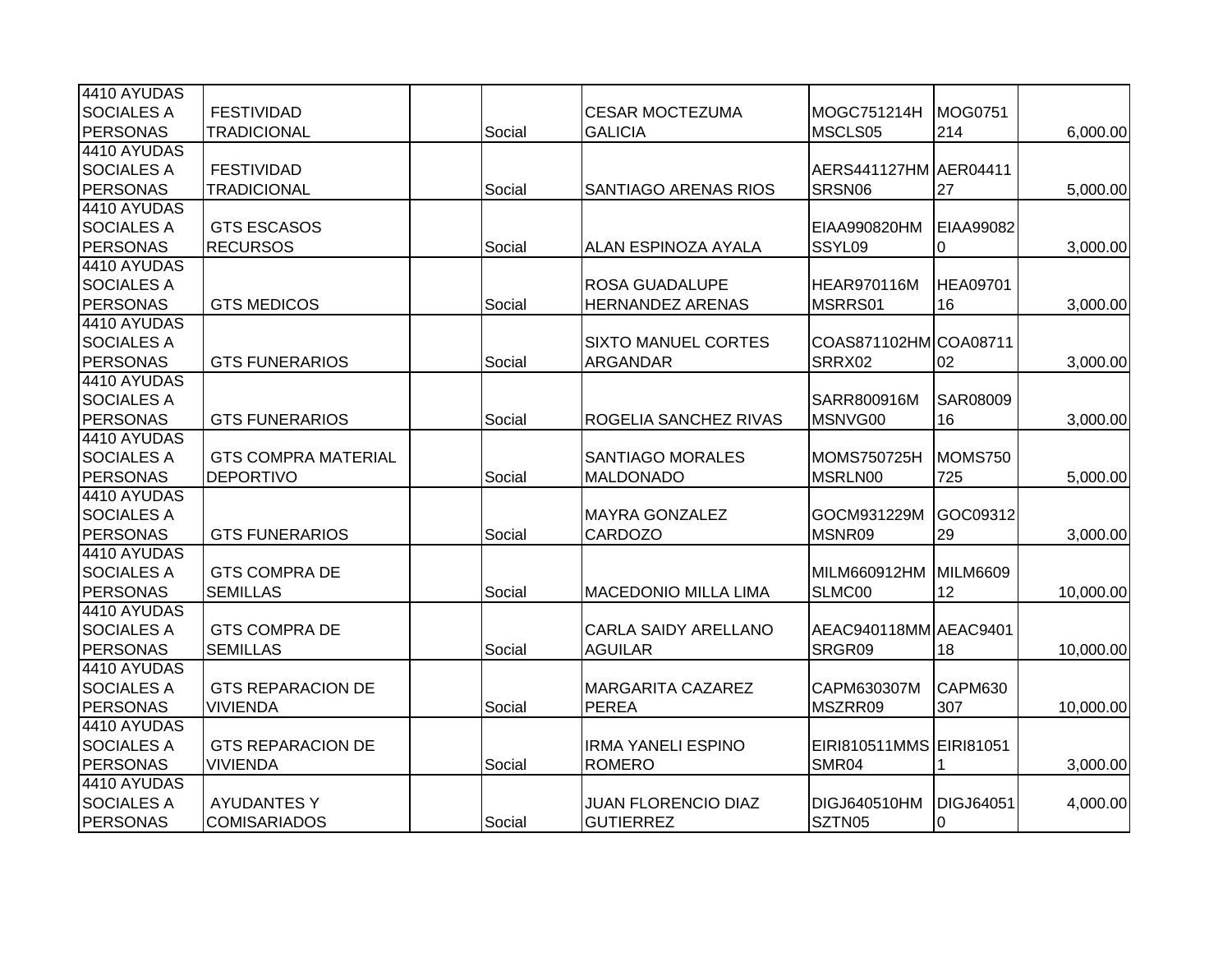| 4410 AYUDAS       |                            |        |                             |                         |                  |           |
|-------------------|----------------------------|--------|-----------------------------|-------------------------|------------------|-----------|
| <b>SOCIALES A</b> | <b>FESTIVIDAD</b>          |        | <b>CESAR MOCTEZUMA</b>      | MOGC751214H             | MOG0751          |           |
| <b>PERSONAS</b>   | <b>TRADICIONAL</b>         | Social | <b>GALICIA</b>              | MSCLS05                 | 214              | 6,000.00  |
| 4410 AYUDAS       |                            |        |                             |                         |                  |           |
| <b>SOCIALES A</b> | <b>FESTIVIDAD</b>          |        |                             | AERS441127HM AER04411   |                  |           |
| <b>PERSONAS</b>   | <b>TRADICIONAL</b>         | Social | <b>SANTIAGO ARENAS RIOS</b> | SRSN06                  | 27               | 5,000.00  |
| 4410 AYUDAS       |                            |        |                             |                         |                  |           |
| <b>SOCIALES A</b> | <b>GTS ESCASOS</b>         |        |                             | EIAA990820HM            | EIAA99082        |           |
| <b>PERSONAS</b>   | <b>RECURSOS</b>            | Social | ALAN ESPINOZA AYALA         | SSYL09                  | 0                | 3,000.00  |
| 4410 AYUDAS       |                            |        |                             |                         |                  |           |
| <b>SOCIALES A</b> |                            |        | <b>ROSA GUADALUPE</b>       | HEAR970116M             | <b>HEA09701</b>  |           |
| <b>PERSONAS</b>   | <b>GTS MEDICOS</b>         | Social | <b>HERNANDEZ ARENAS</b>     | MSRRS01                 | 16               | 3,000.00  |
| 4410 AYUDAS       |                            |        |                             |                         |                  |           |
| <b>SOCIALES A</b> |                            |        | <b>SIXTO MANUEL CORTES</b>  | COAS871102HM COA08711   |                  |           |
| <b>PERSONAS</b>   | <b>GTS FUNERARIOS</b>      | Social | <b>ARGANDAR</b>             | SRRX02                  | 02               | 3,000.00  |
| 4410 AYUDAS       |                            |        |                             |                         |                  |           |
| <b>SOCIALES A</b> |                            |        |                             | SARR800916M             | <b>SAR08009</b>  |           |
| <b>PERSONAS</b>   | <b>GTS FUNERARIOS</b>      | Social | ROGELIA SANCHEZ RIVAS       | MSNVG00                 | 16               | 3,000.00  |
| 4410 AYUDAS       |                            |        |                             |                         |                  |           |
| <b>SOCIALES A</b> | <b>GTS COMPRA MATERIAL</b> |        | <b>SANTIAGO MORALES</b>     | MOMS750725H             | MOMS750          |           |
| <b>PERSONAS</b>   | <b>DEPORTIVO</b>           | Social | <b>MALDONADO</b>            | MSRLN00                 | 725              | 5,000.00  |
| 4410 AYUDAS       |                            |        |                             |                         |                  |           |
| <b>SOCIALES A</b> |                            |        | <b>MAYRA GONZALEZ</b>       | GOCM931229M             | GOC09312         |           |
| <b>PERSONAS</b>   | <b>GTS FUNERARIOS</b>      | Social | <b>CARDOZO</b>              | MSNR09                  | 29               | 3,000.00  |
| 4410 AYUDAS       |                            |        |                             |                         |                  |           |
| <b>SOCIALES A</b> | <b>GTS COMPRA DE</b>       |        |                             | MILM660912HM            | MILM6609         |           |
| <b>PERSONAS</b>   | <b>SEMILLAS</b>            | Social | <b>MACEDONIO MILLA LIMA</b> | SLMC00                  | 12               | 10,000.00 |
| 4410 AYUDAS       |                            |        |                             |                         |                  |           |
| <b>SOCIALES A</b> | <b>GTS COMPRA DE</b>       |        | <b>CARLA SAIDY ARELLANO</b> | AEAC940118MM AEAC9401   |                  |           |
| <b>PERSONAS</b>   | <b>SEMILLAS</b>            | Social | <b>AGUILAR</b>              | SRGR09                  | 18               | 10,000.00 |
| 4410 AYUDAS       |                            |        |                             |                         |                  |           |
| <b>SOCIALES A</b> | <b>GTS REPARACION DE</b>   |        | <b>MARGARITA CAZAREZ</b>    | CAPM630307M             | <b>CAPM630</b>   |           |
| <b>PERSONAS</b>   | <b>VIVIENDA</b>            | Social | <b>PEREA</b>                | MSZRR09                 | 307              | 10,000.00 |
| 4410 AYUDAS       |                            |        |                             |                         |                  |           |
| <b>SOCIALES A</b> | <b>GTS REPARACION DE</b>   |        | <b>IRMA YANELI ESPINO</b>   | EIRI810511MMS EIRI81051 |                  |           |
| <b>PERSONAS</b>   | <b>VIVIENDA</b>            | Social | <b>ROMERO</b>               | SMR04                   |                  | 3,000.00  |
| 4410 AYUDAS       |                            |        |                             |                         |                  |           |
| <b>SOCIALES A</b> | <b>AYUDANTES Y</b>         |        | <b>JUAN FLORENCIO DIAZ</b>  | DIGJ640510HM            | <b>DIGJ64051</b> | 4,000.00  |
| PERSONAS          | <b>COMISARIADOS</b>        | Social | <b>GUTIERREZ</b>            | SZTN05                  | 0                |           |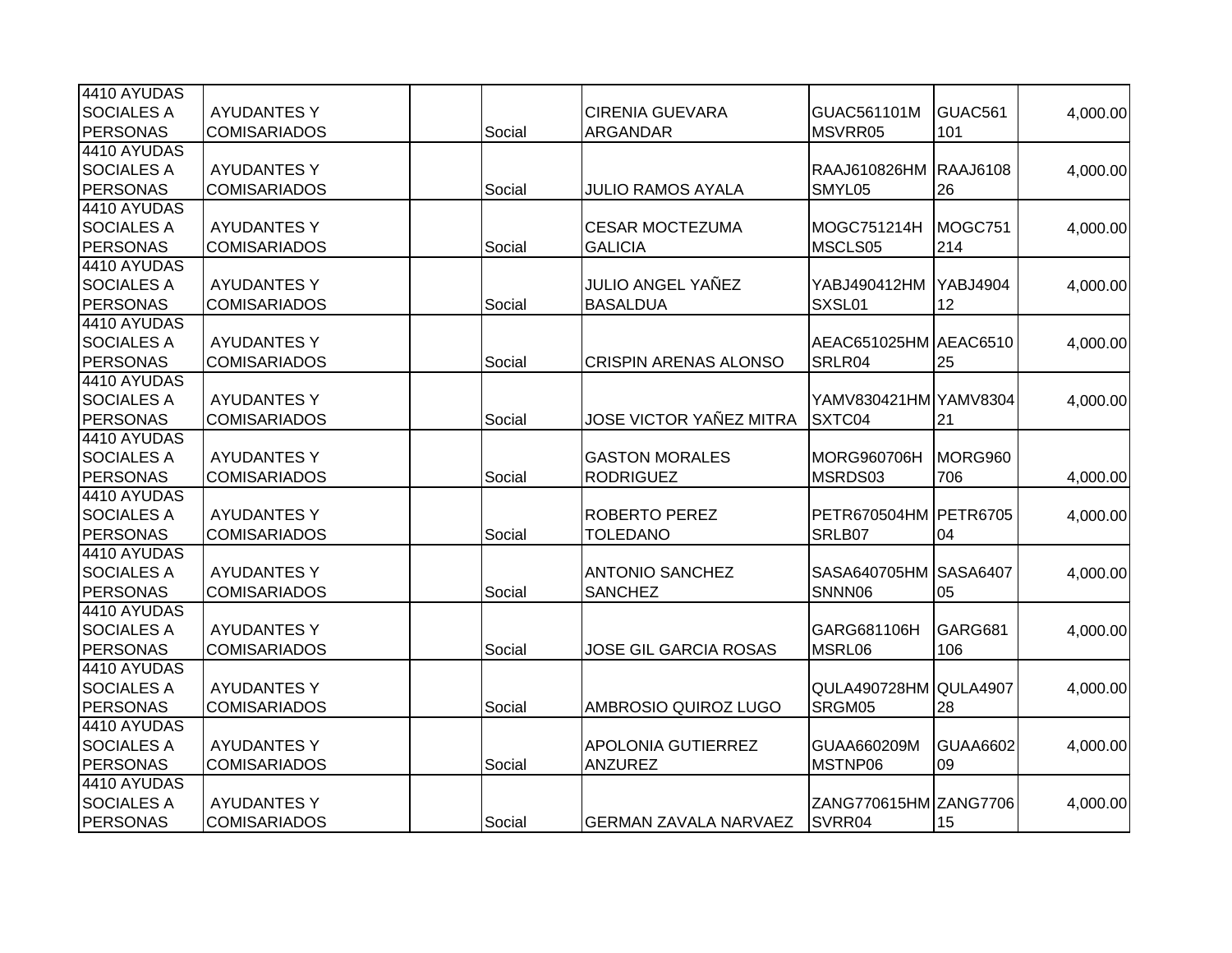| 4410 AYUDAS       |                     |        |                              |                       |                 |          |
|-------------------|---------------------|--------|------------------------------|-----------------------|-----------------|----------|
| <b>SOCIALES A</b> | <b>AYUDANTES Y</b>  |        | <b>CIRENIA GUEVARA</b>       | GUAC561101M           | GUAC561         | 4,000.00 |
| <b>PERSONAS</b>   | <b>COMISARIADOS</b> | Social | ARGANDAR                     | MSVRR05               | 101             |          |
| 4410 AYUDAS       |                     |        |                              |                       |                 |          |
| <b>SOCIALES A</b> | <b>AYUDANTES Y</b>  |        |                              | RAAJ610826HM          | <b>RAAJ6108</b> | 4,000.00 |
| PERSONAS          | <b>COMISARIADOS</b> | Social | <b>JULIO RAMOS AYALA</b>     | SMYL05                | 26              |          |
| 4410 AYUDAS       |                     |        |                              |                       |                 |          |
| <b>SOCIALES A</b> | <b>AYUDANTES Y</b>  |        | <b>CESAR MOCTEZUMA</b>       | MOGC751214H           | MOGC751         |          |
| PERSONAS          |                     |        |                              |                       |                 | 4,000.00 |
| 4410 AYUDAS       | <b>COMISARIADOS</b> | Social | <b>GALICIA</b>               | MSCLS05               | 214             |          |
|                   |                     |        |                              |                       |                 |          |
| <b>SOCIALES A</b> | <b>AYUDANTES Y</b>  |        | JULIO ANGEL YAÑEZ            | YABJ490412HM          | <b>YABJ4904</b> | 4,000.00 |
| PERSONAS          | <b>COMISARIADOS</b> | Social | <b>BASALDUA</b>              | SXSL01                | 12              |          |
| 4410 AYUDAS       |                     |        |                              |                       |                 |          |
| <b>SOCIALES A</b> | <b>AYUDANTES Y</b>  |        |                              | AEAC651025HM AEAC6510 |                 | 4,000.00 |
| <b>PERSONAS</b>   | <b>COMISARIADOS</b> | Social | <b>CRISPIN ARENAS ALONSO</b> | SRLR04                | 25              |          |
| 4410 AYUDAS       |                     |        |                              |                       |                 |          |
| <b>SOCIALES A</b> | <b>AYUDANTES Y</b>  |        |                              | YAMV830421HM YAMV8304 |                 | 4,000.00 |
| PERSONAS          | <b>COMISARIADOS</b> | Social | JOSE VICTOR YAÑEZ MITRA      | SXTC04                | 21              |          |
| 4410 AYUDAS       |                     |        |                              |                       |                 |          |
| <b>SOCIALES A</b> | <b>AYUDANTES Y</b>  |        | <b>GASTON MORALES</b>        | <b>MORG960706H</b>    | MORG960         |          |
| PERSONAS          | <b>COMISARIADOS</b> | Social | <b>RODRIGUEZ</b>             | MSRDS03               | 706             | 4,000.00 |
| 4410 AYUDAS       |                     |        |                              |                       |                 |          |
| <b>SOCIALES A</b> | <b>AYUDANTES Y</b>  |        | <b>ROBERTO PEREZ</b>         | PETR670504HM PETR6705 |                 | 4,000.00 |
| <b>PERSONAS</b>   | <b>COMISARIADOS</b> | Social | <b>TOLEDANO</b>              | SRLB07                | 04              |          |
| 4410 AYUDAS       |                     |        |                              |                       |                 |          |
| <b>SOCIALES A</b> | <b>AYUDANTES Y</b>  |        | <b>ANTONIO SANCHEZ</b>       | SASA640705HM SASA6407 |                 | 4,000.00 |
| <b>PERSONAS</b>   | <b>COMISARIADOS</b> | Social | <b>SANCHEZ</b>               | SNNN06                | 05              |          |
| 4410 AYUDAS       |                     |        |                              |                       |                 |          |
| <b>SOCIALES A</b> | <b>AYUDANTES Y</b>  |        |                              | GARG681106H           | GARG681         | 4,000.00 |
| PERSONAS          | <b>COMISARIADOS</b> | Social | <b>JOSE GIL GARCIA ROSAS</b> | MSRL06                | 106             |          |
| 4410 AYUDAS       |                     |        |                              |                       |                 |          |
| <b>SOCIALES A</b> | <b>AYUDANTES Y</b>  |        |                              | QULA490728HM QULA4907 |                 | 4,000.00 |
| PERSONAS          | <b>COMISARIADOS</b> | Social | AMBROSIO QUIROZ LUGO         | SRGM05                | 28              |          |
| 4410 AYUDAS       |                     |        |                              |                       |                 |          |
| <b>SOCIALES A</b> | <b>AYUDANTES Y</b>  |        | <b>APOLONIA GUTIERREZ</b>    | GUAA660209M           | <b>GUAA6602</b> | 4,000.00 |
| PERSONAS          | <b>COMISARIADOS</b> | Social | <b>ANZUREZ</b>               | MSTNP06               | 09              |          |
| 4410 AYUDAS       |                     |        |                              |                       |                 |          |
| <b>SOCIALES A</b> | <b>AYUDANTES Y</b>  |        |                              | ZANG770615HM ZANG7706 |                 | 4,000.00 |
| PERSONAS          | <b>COMISARIADOS</b> | Social | <b>GERMAN ZAVALA NARVAEZ</b> | SVRR04                | 15              |          |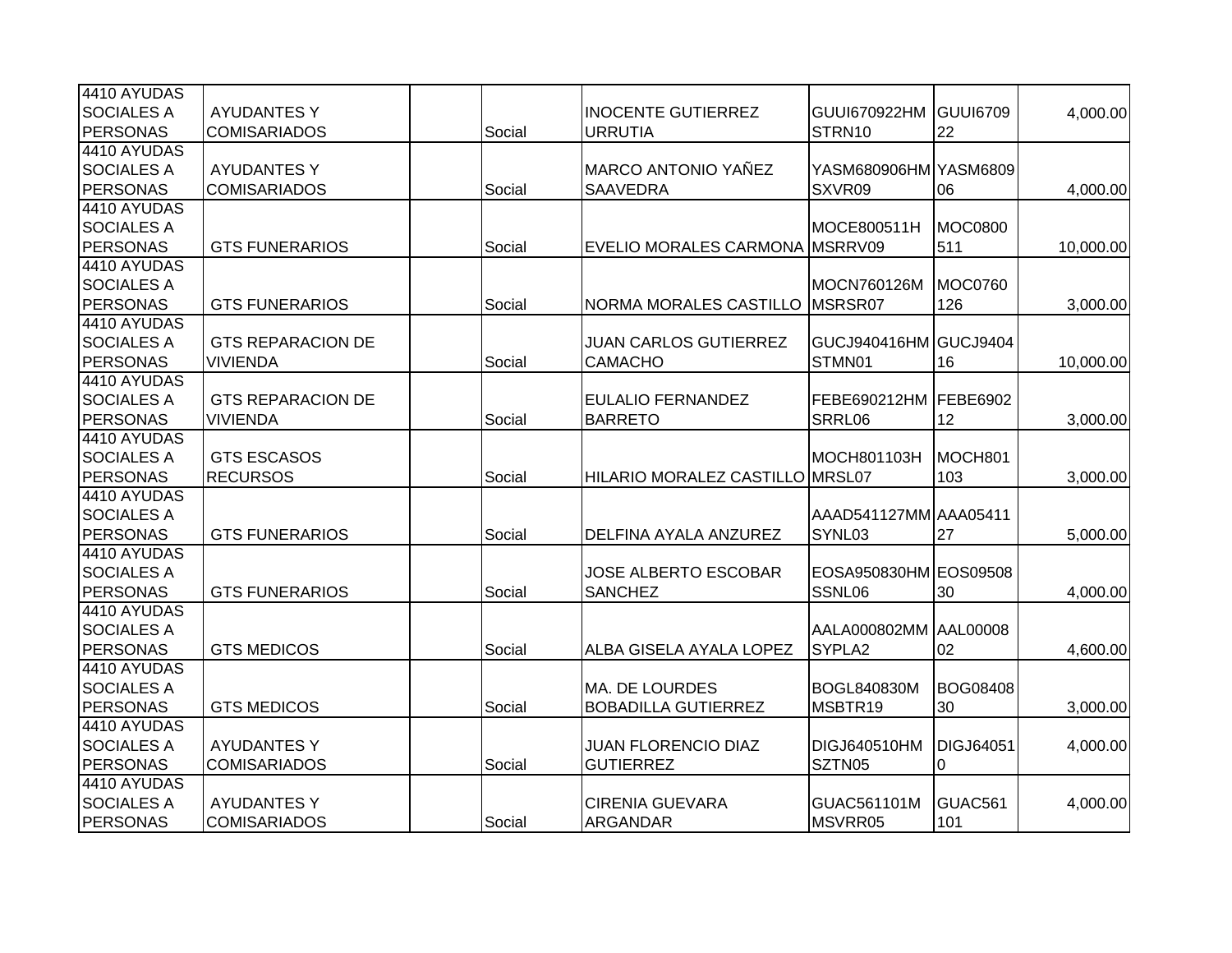| 4410 AYUDAS       |                          |        |                                 |                       |                  |           |
|-------------------|--------------------------|--------|---------------------------------|-----------------------|------------------|-----------|
| <b>SOCIALES A</b> | <b>AYUDANTES Y</b>       |        | <b>INOCENTE GUTIERREZ</b>       | <b>GUUI670922HM</b>   | GUUI6709         | 4,000.00  |
| <b>PERSONAS</b>   | <b>COMISARIADOS</b>      | Social | <b>URRUTIA</b>                  | STRN10                | 22               |           |
| 4410 AYUDAS       |                          |        |                                 |                       |                  |           |
| <b>SOCIALES A</b> | <b>AYUDANTES Y</b>       |        | <b>MARCO ANTONIO YAÑEZ</b>      | YASM680906HM YASM6809 |                  |           |
| PERSONAS          | <b>COMISARIADOS</b>      | Social | <b>SAAVEDRA</b>                 | SXVR09                | 06               | 4,000.00  |
| 4410 AYUDAS       |                          |        |                                 |                       |                  |           |
| <b>SOCIALES A</b> |                          |        |                                 | MOCE800511H           | <b>MOC0800</b>   |           |
| PERSONAS          | <b>GTS FUNERARIOS</b>    | Social | EVELIO MORALES CARMONA MSRRV09  |                       | 511              | 10,000.00 |
| 4410 AYUDAS       |                          |        |                                 |                       |                  |           |
| <b>SOCIALES A</b> |                          |        |                                 | MOCN760126M           | <b>MOC0760</b>   |           |
| <b>PERSONAS</b>   | <b>GTS FUNERARIOS</b>    | Social | <b>NORMA MORALES CASTILLO</b>   | MSRSR07               | 126              | 3,000.00  |
| 4410 AYUDAS       |                          |        |                                 |                       |                  |           |
| <b>SOCIALES A</b> | <b>GTS REPARACION DE</b> |        | <b>JUAN CARLOS GUTIERREZ</b>    | GUCJ940416HM GUCJ9404 |                  |           |
| <b>PERSONAS</b>   | <b>VIVIENDA</b>          | Social | <b>CAMACHO</b>                  | STMN01                | 16               | 10,000.00 |
| 4410 AYUDAS       |                          |        |                                 |                       |                  |           |
| <b>SOCIALES A</b> | <b>GTS REPARACION DE</b> |        | <b>EULALIO FERNANDEZ</b>        | FEBE690212HM          | <b>FEBE6902</b>  |           |
| PERSONAS          | <b>VIVIENDA</b>          | Social | <b>BARRETO</b>                  | SRRL06                | 12               | 3,000.00  |
| 4410 AYUDAS       |                          |        |                                 |                       |                  |           |
| <b>SOCIALES A</b> | <b>GTS ESCASOS</b>       |        |                                 | MOCH801103H           | MOCH801          |           |
| <b>PERSONAS</b>   | <b>RECURSOS</b>          | Social | HILARIO MORALEZ CASTILLO MRSL07 |                       | 103              | 3,000.00  |
| 4410 AYUDAS       |                          |        |                                 |                       |                  |           |
| <b>SOCIALES A</b> |                          |        |                                 | AAAD541127MM AAA05411 |                  |           |
| <b>PERSONAS</b>   | <b>GTS FUNERARIOS</b>    | Social | DELFINA AYALA ANZUREZ           | SYNL03                | 27               | 5,000.00  |
| 4410 AYUDAS       |                          |        |                                 |                       |                  |           |
| <b>SOCIALES A</b> |                          |        | <b>JOSE ALBERTO ESCOBAR</b>     | EOSA950830HM EOS09508 |                  |           |
| PERSONAS          | <b>GTS FUNERARIOS</b>    | Social | <b>SANCHEZ</b>                  | SSNL06                | 30               | 4,000.00  |
| 4410 AYUDAS       |                          |        |                                 |                       |                  |           |
| <b>SOCIALES A</b> |                          |        |                                 | AALA000802MM AAL00008 |                  |           |
| PERSONAS          | <b>GTS MEDICOS</b>       | Social | ALBA GISELA AYALA LOPEZ         | SYPLA2                | 02               | 4,600.00  |
| 4410 AYUDAS       |                          |        |                                 |                       |                  |           |
| <b>SOCIALES A</b> |                          |        | <b>MA. DE LOURDES</b>           | <b>BOGL840830M</b>    | <b>BOG08408</b>  |           |
| PERSONAS          | <b>GTS MEDICOS</b>       | Social | <b>BOBADILLA GUTIERREZ</b>      | MSBTR19               | 30               | 3,000.00  |
| 4410 AYUDAS       |                          |        |                                 |                       |                  |           |
| <b>SOCIALES A</b> | <b>AYUDANTES Y</b>       |        | <b>JUAN FLORENCIO DIAZ</b>      | DIGJ640510HM          | <b>DIGJ64051</b> | 4,000.00  |
| <b>PERSONAS</b>   | <b>COMISARIADOS</b>      | Social | <b>GUTIERREZ</b>                | SZTN05                | 0                |           |
| 4410 AYUDAS       |                          |        |                                 |                       |                  |           |
| <b>SOCIALES A</b> | <b>AYUDANTES Y</b>       |        | <b>CIRENIA GUEVARA</b>          | GUAC561101M           | GUAC561          | 4,000.00  |
| PERSONAS          | <b>COMISARIADOS</b>      | Social | <b>ARGANDAR</b>                 | MSVRR05               | 101              |           |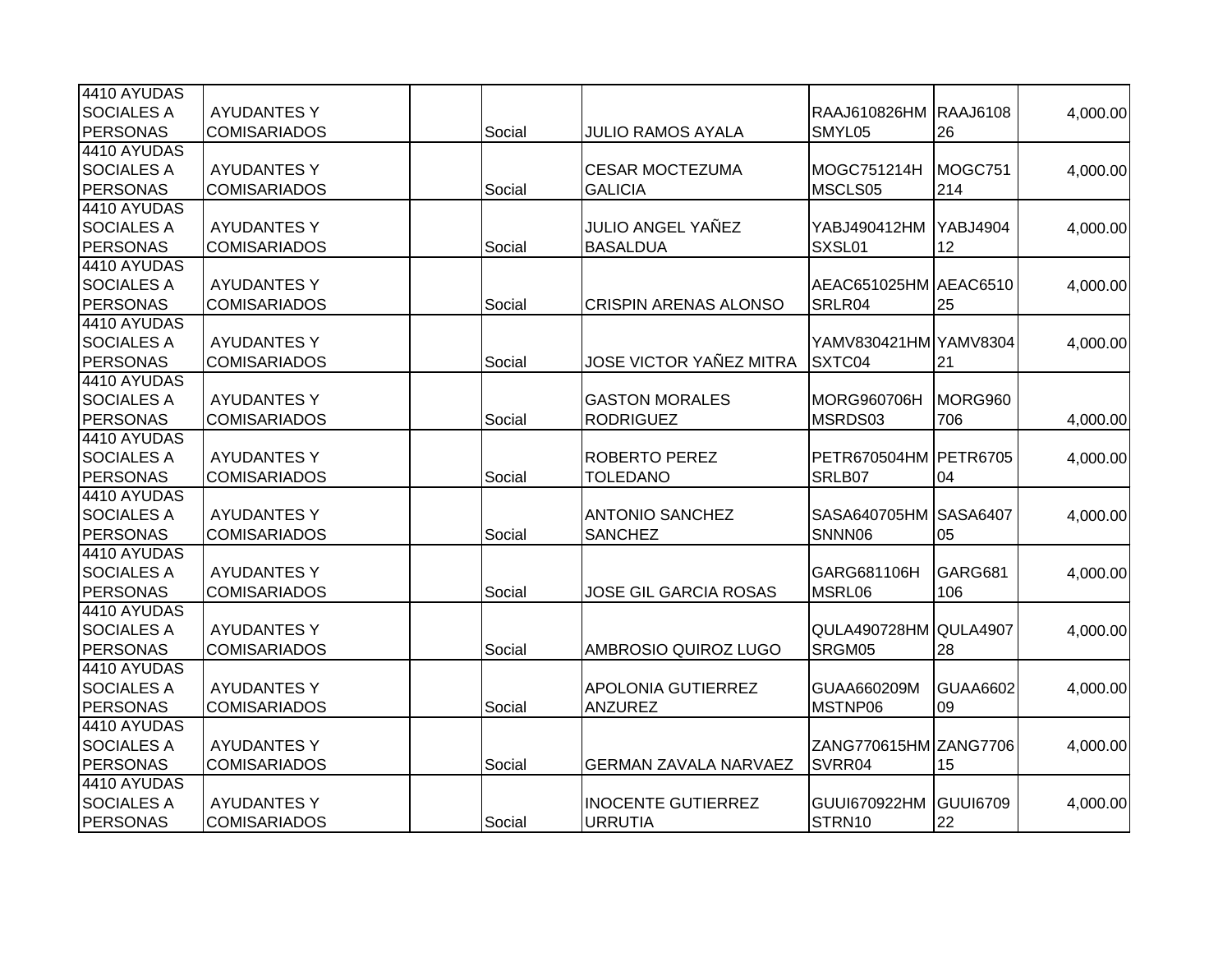| 4410 AYUDAS       |                     |        |                              |                       |                 |          |
|-------------------|---------------------|--------|------------------------------|-----------------------|-----------------|----------|
| <b>SOCIALES A</b> | <b>AYUDANTES Y</b>  |        |                              | RAAJ610826HM          | <b>RAAJ6108</b> | 4,000.00 |
| <b>PERSONAS</b>   | <b>COMISARIADOS</b> | Social | <b>JULIO RAMOS AYALA</b>     | SMYL05                | 26              |          |
| 4410 AYUDAS       |                     |        |                              |                       |                 |          |
| <b>SOCIALES A</b> | <b>AYUDANTES Y</b>  |        | <b>CESAR MOCTEZUMA</b>       | MOGC751214H           | MOGC751         | 4,000.00 |
| PERSONAS          | <b>COMISARIADOS</b> | Social | <b>GALICIA</b>               | MSCLS05               | 214             |          |
| 4410 AYUDAS       |                     |        |                              |                       |                 |          |
| <b>SOCIALES A</b> | <b>AYUDANTES Y</b>  |        | JULIO ANGEL YAÑEZ            | YABJ490412HM          | <b>YABJ4904</b> | 4,000.00 |
| PERSONAS          | <b>COMISARIADOS</b> | Social | <b>BASALDUA</b>              | SXSL01                | 12              |          |
| 4410 AYUDAS       |                     |        |                              |                       |                 |          |
| <b>SOCIALES A</b> | <b>AYUDANTES Y</b>  |        |                              | AEAC651025HM AEAC6510 |                 | 4,000.00 |
| PERSONAS          | <b>COMISARIADOS</b> | Social | <b>CRISPIN ARENAS ALONSO</b> | SRLR04                | 25              |          |
| 4410 AYUDAS       |                     |        |                              |                       |                 |          |
| <b>SOCIALES A</b> | <b>AYUDANTES Y</b>  |        |                              | YAMV830421HM YAMV8304 |                 | 4,000.00 |
| <b>PERSONAS</b>   | <b>COMISARIADOS</b> | Social | JOSE VICTOR YAÑEZ MITRA      | SXTC04                | 21              |          |
| 4410 AYUDAS       |                     |        |                              |                       |                 |          |
| <b>SOCIALES A</b> | <b>AYUDANTES Y</b>  |        | <b>GASTON MORALES</b>        | MORG960706H           | MORG960         |          |
| PERSONAS          | <b>COMISARIADOS</b> | Social | <b>RODRIGUEZ</b>             | MSRDS03               | 706             | 4,000.00 |
| 4410 AYUDAS       |                     |        |                              |                       |                 |          |
| <b>SOCIALES A</b> | <b>AYUDANTES Y</b>  |        | <b>ROBERTO PEREZ</b>         | PETR670504HM PETR6705 |                 | 4,000.00 |
| <b>PERSONAS</b>   | <b>COMISARIADOS</b> | Social | <b>TOLEDANO</b>              | SRLB07                | 04              |          |
| 4410 AYUDAS       |                     |        |                              |                       |                 |          |
| <b>SOCIALES A</b> | <b>AYUDANTES Y</b>  |        | <b>ANTONIO SANCHEZ</b>       | SASA640705HM SASA6407 |                 |          |
| <b>PERSONAS</b>   | <b>COMISARIADOS</b> | Social | <b>SANCHEZ</b>               | SNNN06                | 05              | 4,000.00 |
| 4410 AYUDAS       |                     |        |                              |                       |                 |          |
| <b>SOCIALES A</b> | <b>AYUDANTES Y</b>  |        |                              | GARG681106H           | GARG681         |          |
| <b>PERSONAS</b>   | <b>COMISARIADOS</b> | Social | <b>JOSE GIL GARCIA ROSAS</b> | MSRL06                | 106             | 4,000.00 |
| 4410 AYUDAS       |                     |        |                              |                       |                 |          |
| <b>SOCIALES A</b> | <b>AYUDANTES Y</b>  |        |                              | QULA490728HM QULA4907 |                 | 4,000.00 |
| PERSONAS          | <b>COMISARIADOS</b> | Social | AMBROSIO QUIROZ LUGO         | SRGM05                | 28              |          |
| 4410 AYUDAS       |                     |        |                              |                       |                 |          |
| <b>SOCIALES A</b> | <b>AYUDANTES Y</b>  |        | APOLONIA GUTIERREZ           | GUAA660209M           | <b>GUAA6602</b> |          |
| <b>PERSONAS</b>   | <b>COMISARIADOS</b> | Social | <b>ANZUREZ</b>               | MSTNP06               | 09              | 4,000.00 |
| 4410 AYUDAS       |                     |        |                              |                       |                 |          |
| <b>SOCIALES A</b> | <b>AYUDANTES Y</b>  |        |                              | ZANG770615HM ZANG7706 |                 |          |
|                   |                     |        |                              |                       |                 | 4,000.00 |
| PERSONAS          | <b>COMISARIADOS</b> | Social | <b>GERMAN ZAVALA NARVAEZ</b> | SVRR04                | 15              |          |
| 4410 AYUDAS       |                     |        |                              |                       |                 |          |
| <b>SOCIALES A</b> | <b>AYUDANTES Y</b>  |        | <b>INOCENTE GUTIERREZ</b>    | <b>GUUI670922HM</b>   | GUUI6709        | 4,000.00 |
| PERSONAS          | <b>COMISARIADOS</b> | Social | <b>URRUTIA</b>               | STRN10                | 22              |          |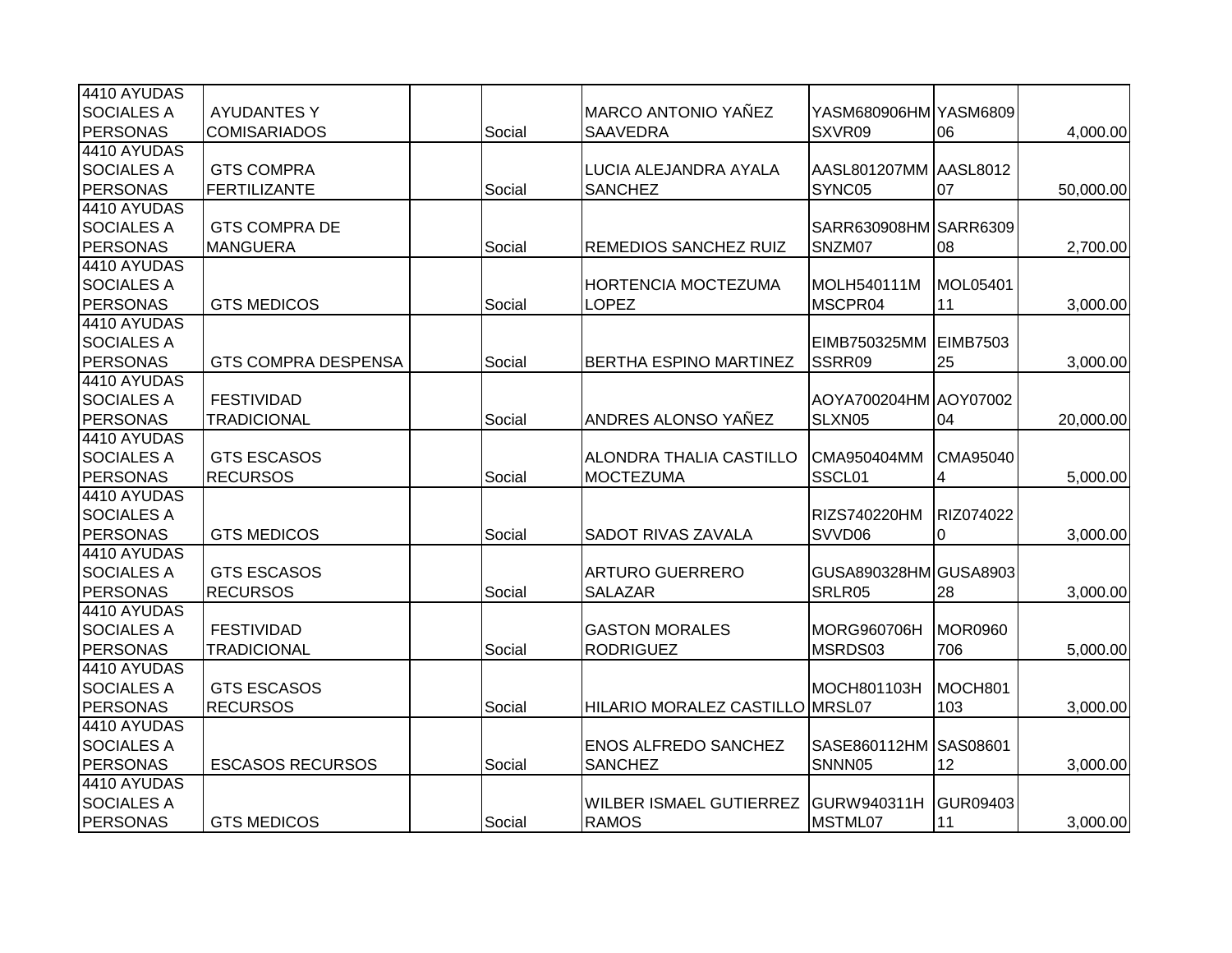| 4410 AYUDAS       |                            |        |                                 |                       |                 |           |
|-------------------|----------------------------|--------|---------------------------------|-----------------------|-----------------|-----------|
| <b>SOCIALES A</b> | <b>AYUDANTES Y</b>         |        | <b>MARCO ANTONIO YAÑEZ</b>      | YASM680906HM YASM6809 |                 |           |
| <b>PERSONAS</b>   | <b>COMISARIADOS</b>        | Social | <b>SAAVEDRA</b>                 | SXVR09                | 06              | 4,000.00  |
| 4410 AYUDAS       |                            |        |                                 |                       |                 |           |
| <b>SOCIALES A</b> | <b>GTS COMPRA</b>          |        | LUCIA ALEJANDRA AYALA           | AASL801207MM AASL8012 |                 |           |
| <b>PERSONAS</b>   | <b>FERTILIZANTE</b>        | Social | <b>SANCHEZ</b>                  | SYNC05                | 07              | 50,000.00 |
| 4410 AYUDAS       |                            |        |                                 |                       |                 |           |
| <b>SOCIALES A</b> | <b>GTS COMPRA DE</b>       |        |                                 | SARR630908HM SARR6309 |                 |           |
| <b>PERSONAS</b>   | <b>MANGUERA</b>            | Social | REMEDIOS SANCHEZ RUIZ           | SNZM07                | 08              | 2,700.00  |
| 4410 AYUDAS       |                            |        |                                 |                       |                 |           |
| <b>SOCIALES A</b> |                            |        | <b>HORTENCIA MOCTEZUMA</b>      | MOLH540111M           | MOL05401        |           |
| <b>PERSONAS</b>   | <b>GTS MEDICOS</b>         | Social | <b>LOPEZ</b>                    | MSCPR04               | 11              | 3,000.00  |
| 4410 AYUDAS       |                            |        |                                 |                       |                 |           |
| <b>SOCIALES A</b> |                            |        |                                 | EIMB750325MM          | <b>EIMB7503</b> |           |
| <b>PERSONAS</b>   | <b>GTS COMPRA DESPENSA</b> | Social | <b>BERTHA ESPINO MARTINEZ</b>   | SSRR09                | 25              | 3,000.00  |
| 4410 AYUDAS       |                            |        |                                 |                       |                 |           |
| <b>SOCIALES A</b> | <b>FESTIVIDAD</b>          |        |                                 | AOYA700204HM AOY07002 |                 |           |
| <b>PERSONAS</b>   | <b>TRADICIONAL</b>         | Social | ANDRES ALONSO YAÑEZ             | SLXN05                | 04              | 20,000.00 |
| 4410 AYUDAS       |                            |        |                                 |                       |                 |           |
| <b>SOCIALES A</b> | <b>GTS ESCASOS</b>         |        | ALONDRA THALIA CASTILLO         | CMA950404MM           | CMA95040        |           |
| <b>PERSONAS</b>   | <b>RECURSOS</b>            | Social | <b>MOCTEZUMA</b>                | SSCL01                | 4               | 5,000.00  |
| 4410 AYUDAS       |                            |        |                                 |                       |                 |           |
| <b>SOCIALES A</b> |                            |        |                                 | RIZS740220HM          | RIZ074022       |           |
| <b>PERSONAS</b>   | <b>GTS MEDICOS</b>         | Social | <b>SADOT RIVAS ZAVALA</b>       | SVVD06                | $\Omega$        | 3,000.00  |
| 4410 AYUDAS       |                            |        |                                 |                       |                 |           |
| <b>SOCIALES A</b> | <b>GTS ESCASOS</b>         |        | <b>ARTURO GUERRERO</b>          | GUSA890328HM GUSA8903 |                 |           |
| <b>PERSONAS</b>   | <b>RECURSOS</b>            | Social | <b>SALAZAR</b>                  | SRLR05                | 28              | 3,000.00  |
| 4410 AYUDAS       |                            |        |                                 |                       |                 |           |
| <b>SOCIALES A</b> | <b>FESTIVIDAD</b>          |        | <b>GASTON MORALES</b>           | <b>MORG960706H</b>    | <b>MOR0960</b>  |           |
| PERSONAS          | <b>TRADICIONAL</b>         | Social | <b>RODRIGUEZ</b>                | MSRDS03               | 706             | 5,000.00  |
| 4410 AYUDAS       |                            |        |                                 |                       |                 |           |
| <b>SOCIALES A</b> | <b>GTS ESCASOS</b>         |        |                                 | MOCH801103H           | MOCH801         |           |
| <b>PERSONAS</b>   | <b>RECURSOS</b>            | Social | HILARIO MORALEZ CASTILLO MRSL07 |                       | 103             | 3,000.00  |
| 4410 AYUDAS       |                            |        |                                 |                       |                 |           |
| <b>SOCIALES A</b> |                            |        | <b>ENOS ALFREDO SANCHEZ</b>     | SASE860112HM          | <b>SAS08601</b> |           |
| <b>PERSONAS</b>   | <b>ESCASOS RECURSOS</b>    | Social | <b>SANCHEZ</b>                  | SNNN05                | 12              | 3,000.00  |
| 4410 AYUDAS       |                            |        |                                 |                       |                 |           |
| <b>SOCIALES A</b> |                            |        | <b>WILBER ISMAEL GUTIERREZ</b>  | <b>GURW940311H</b>    | <b>GUR09403</b> |           |
| <b>PERSONAS</b>   |                            |        | <b>RAMOS</b>                    | MSTML07               | 11              |           |
|                   | <b>GTS MEDICOS</b>         | Social |                                 |                       |                 | 3,000.00  |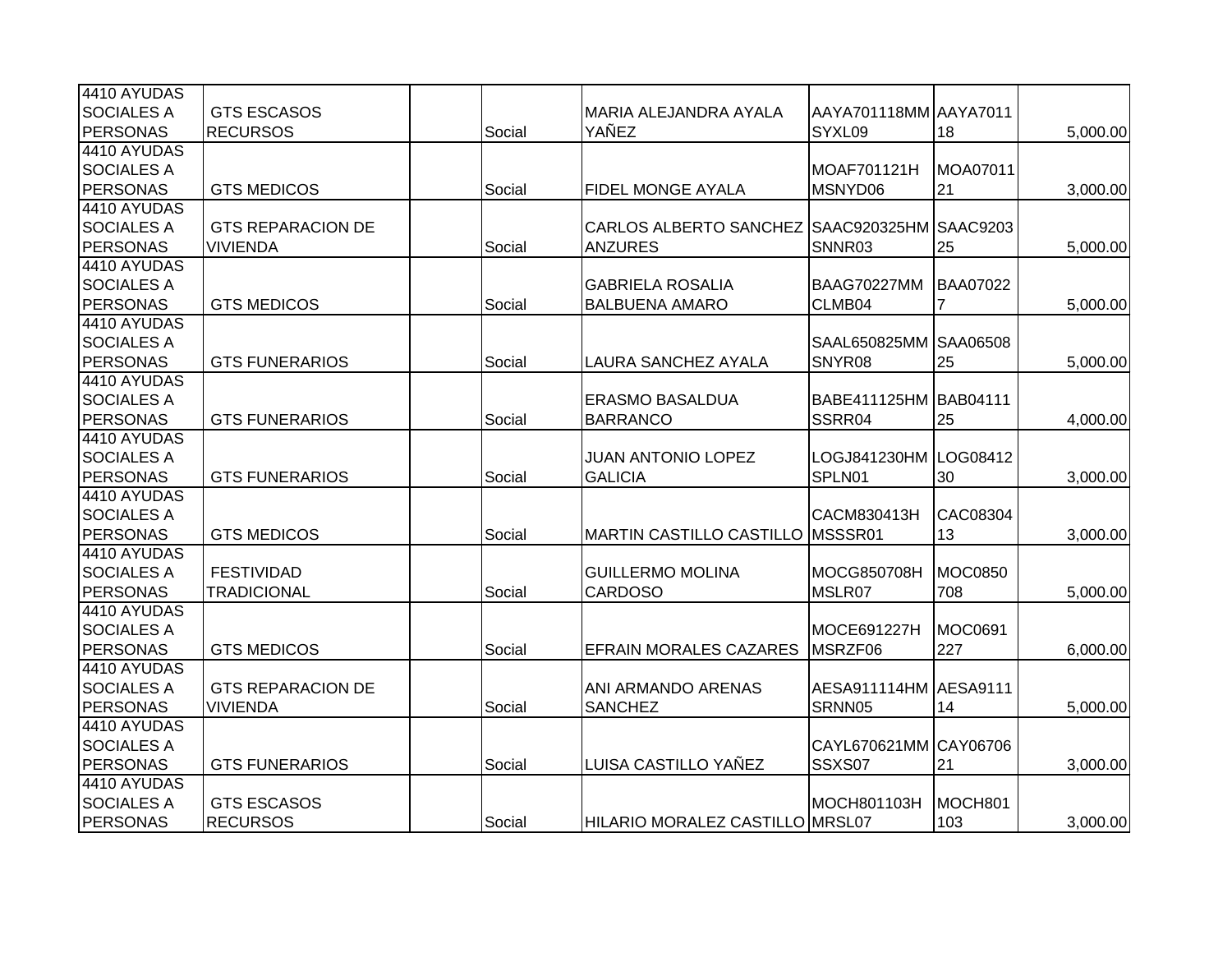| 4410 AYUDAS       |                          |        |                                              |                       |                 |          |
|-------------------|--------------------------|--------|----------------------------------------------|-----------------------|-----------------|----------|
| <b>SOCIALES A</b> | <b>GTS ESCASOS</b>       |        | MARIA ALEJANDRA AYALA                        | AAYA701118MM AAYA7011 |                 |          |
| <b>PERSONAS</b>   | <b>RECURSOS</b>          | Social | YAÑEZ                                        | SYXL09                | 18              | 5,000.00 |
| 4410 AYUDAS       |                          |        |                                              |                       |                 |          |
| <b>SOCIALES A</b> |                          |        |                                              | MOAF701121H           | MOA07011        |          |
| <b>PERSONAS</b>   | <b>GTS MEDICOS</b>       | Social | <b>FIDEL MONGE AYALA</b>                     | MSNYD06               | 21              | 3,000.00 |
| 4410 AYUDAS       |                          |        |                                              |                       |                 |          |
| <b>SOCIALES A</b> | <b>GTS REPARACION DE</b> |        | CARLOS ALBERTO SANCHEZ SAAC920325HM SAAC9203 |                       |                 |          |
| <b>PERSONAS</b>   | <b>VIVIENDA</b>          | Social | <b>ANZURES</b>                               | SNNR03                | 25              | 5,000.00 |
| 4410 AYUDAS       |                          |        |                                              |                       |                 |          |
| <b>SOCIALES A</b> |                          |        | <b>GABRIELA ROSALIA</b>                      | <b>BAAG70227MM</b>    | <b>BAA07022</b> |          |
| <b>PERSONAS</b>   | <b>GTS MEDICOS</b>       | Social | <b>BALBUENA AMARO</b>                        | CLMB04                | $\overline{7}$  | 5,000.00 |
| 4410 AYUDAS       |                          |        |                                              |                       |                 |          |
| <b>SOCIALES A</b> |                          |        |                                              | SAAL650825MM SAA06508 |                 |          |
| <b>PERSONAS</b>   | <b>GTS FUNERARIOS</b>    | Social | LAURA SANCHEZ AYALA                          | SNYR08                | 25              | 5,000.00 |
| 4410 AYUDAS       |                          |        |                                              |                       |                 |          |
| <b>SOCIALES A</b> |                          |        | <b>ERASMO BASALDUA</b>                       | BABE411125HM BAB04111 |                 |          |
| <b>PERSONAS</b>   | <b>GTS FUNERARIOS</b>    | Social | <b>BARRANCO</b>                              | SSRR04                | 25              | 4,000.00 |
| 4410 AYUDAS       |                          |        |                                              |                       |                 |          |
| <b>SOCIALES A</b> |                          |        | <b>JUAN ANTONIO LOPEZ</b>                    | LOGJ841230HM LOG08412 |                 |          |
| <b>PERSONAS</b>   | <b>GTS FUNERARIOS</b>    | Social | <b>GALICIA</b>                               | SPLN01                | 30              | 3,000.00 |
| 4410 AYUDAS       |                          |        |                                              |                       |                 |          |
| <b>SOCIALES A</b> |                          |        |                                              | CACM830413H           | CAC08304        |          |
| <b>PERSONAS</b>   | <b>GTS MEDICOS</b>       | Social | <b>MARTIN CASTILLO CASTILLO MSSSR01</b>      |                       | 13              | 3,000.00 |
| 4410 AYUDAS       |                          |        |                                              |                       |                 |          |
| <b>SOCIALES A</b> | <b>FESTIVIDAD</b>        |        | <b>GUILLERMO MOLINA</b>                      | MOCG850708H           | <b>MOC0850</b>  |          |
| <b>PERSONAS</b>   | <b>TRADICIONAL</b>       | Social | <b>CARDOSO</b>                               | MSLR07                | 708             | 5,000.00 |
| 4410 AYUDAS       |                          |        |                                              |                       |                 |          |
| <b>SOCIALES A</b> |                          |        |                                              | MOCE691227H           | <b>MOC0691</b>  |          |
| PERSONAS          | <b>GTS MEDICOS</b>       | Social | <b>EFRAIN MORALES CAZARES</b>                | MSRZF06               | 227             | 6,000.00 |
| 4410 AYUDAS       |                          |        |                                              |                       |                 |          |
| <b>SOCIALES A</b> | <b>GTS REPARACION DE</b> |        | ANI ARMANDO ARENAS                           | AESA911114HM AESA9111 |                 |          |
| <b>PERSONAS</b>   | <b>VIVIENDA</b>          | Social | <b>SANCHEZ</b>                               | SRNN05                | 14              | 5,000.00 |
| 4410 AYUDAS       |                          |        |                                              |                       |                 |          |
| <b>SOCIALES A</b> |                          |        |                                              | CAYL670621MM CAY06706 |                 |          |
| <b>PERSONAS</b>   | <b>GTS FUNERARIOS</b>    | Social | LUISA CASTILLO YAÑEZ                         | SSXS07                | 21              | 3,000.00 |
| 4410 AYUDAS       |                          |        |                                              |                       |                 |          |
| <b>SOCIALES A</b> | <b>GTS ESCASOS</b>       |        |                                              | MOCH801103H           | MOCH801         |          |
| <b>PERSONAS</b>   | <b>RECURSOS</b>          | Social | HILARIO MORALEZ CASTILLO MRSL07              |                       | 103             | 3,000.00 |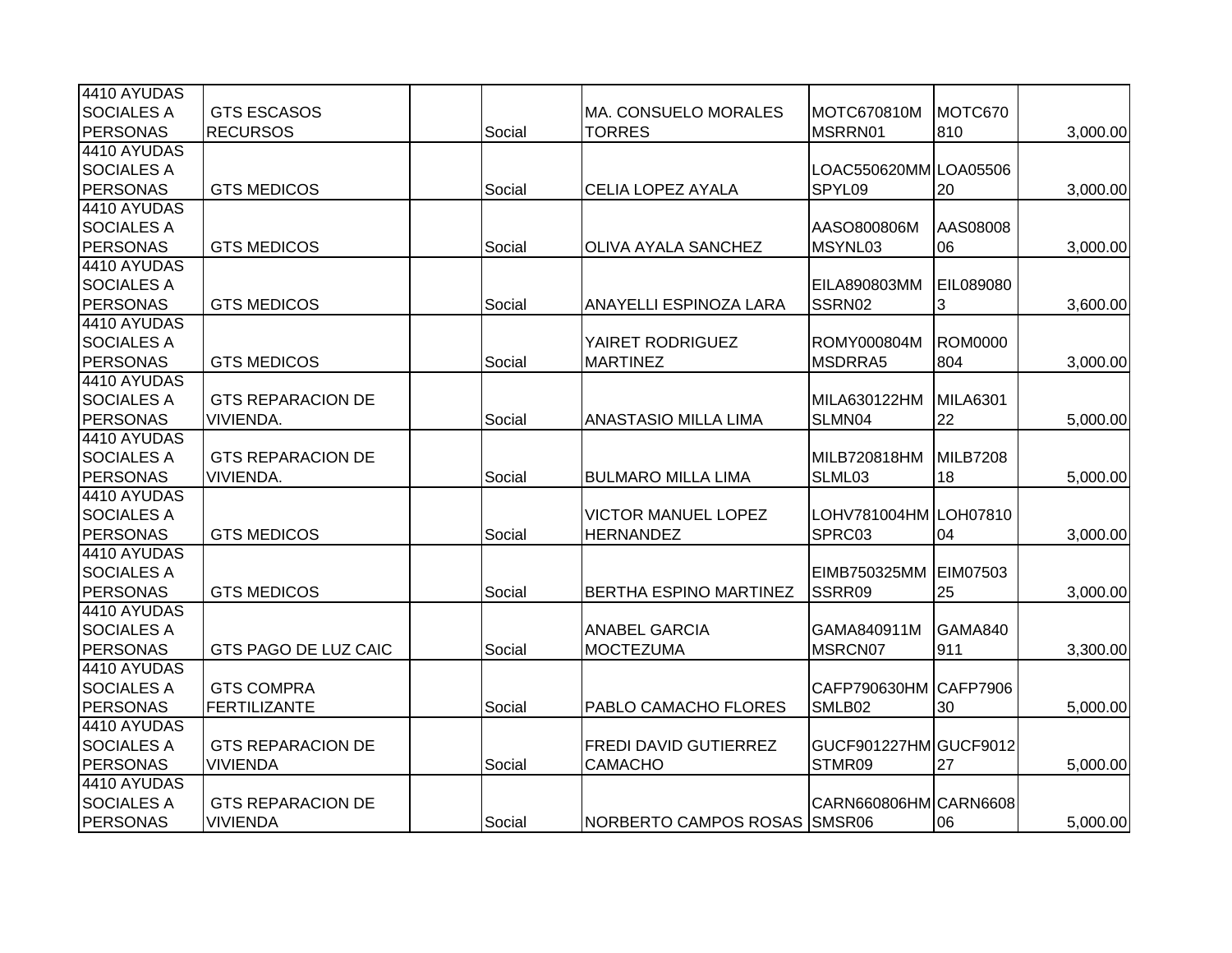| 4410 AYUDAS                                                                                            |                 |          |
|--------------------------------------------------------------------------------------------------------|-----------------|----------|
| <b>SOCIALES A</b><br><b>GTS ESCASOS</b><br>MOTC670810M<br><b>MA. CONSUELO MORALES</b>                  | MOTC670         |          |
| <b>PERSONAS</b><br><b>RECURSOS</b><br>Social<br><b>TORRES</b><br>MSRRN01                               | 810             | 3,000.00 |
| 4410 AYUDAS                                                                                            |                 |          |
| <b>SOCIALES A</b><br>LOAC550620MM LOA05506                                                             |                 |          |
| PERSONAS<br>SPYL09<br><b>GTS MEDICOS</b><br>Social<br><b>CELIA LOPEZ AYALA</b>                         | 20              | 3,000.00 |
| 4410 AYUDAS                                                                                            |                 |          |
| <b>SOCIALES A</b><br>AASO800806M                                                                       | AAS08008        |          |
| <b>PERSONAS</b><br><b>GTS MEDICOS</b><br>Social<br><b>OLIVA AYALA SANCHEZ</b><br>MSYNL03               | 06              | 3,000.00 |
| 4410 AYUDAS                                                                                            |                 |          |
| <b>SOCIALES A</b><br><b>EILA890803MM</b>                                                               | EIL089080       |          |
| <b>PERSONAS</b><br>Social<br>SSRN02<br><b>GTS MEDICOS</b><br>ANAYELLI ESPINOZA LARA                    | 3               | 3,600.00 |
| 4410 AYUDAS                                                                                            |                 |          |
| <b>SOCIALES A</b><br>ROMY000804M<br>YAIRET RODRIGUEZ                                                   | <b>ROM0000</b>  |          |
| <b>PERSONAS</b><br><b>GTS MEDICOS</b><br>Social<br><b>MARTINEZ</b><br>MSDRRA5                          | 804             | 3,000.00 |
| 4410 AYUDAS                                                                                            |                 |          |
| <b>SOCIALES A</b><br><b>GTS REPARACION DE</b><br>MILA630122HM                                          | <b>MILA6301</b> |          |
| <b>PERSONAS</b><br>VIVIENDA.<br>Social<br>SLMN04<br><b>ANASTASIO MILLA LIMA</b>                        | 22              | 5,000.00 |
| 4410 AYUDAS                                                                                            |                 |          |
| <b>SOCIALES A</b><br><b>GTS REPARACION DE</b><br>MILB720818HM                                          | MILB7208        |          |
| <b>PERSONAS</b><br>Social<br><b>VIVIENDA.</b><br><b>BULMARO MILLA LIMA</b><br>SLML03                   | 18              | 5,000.00 |
| 4410 AYUDAS                                                                                            |                 |          |
| <b>SOCIALES A</b><br><b>VICTOR MANUEL LOPEZ</b><br>LOHV781004HM LOH07810                               |                 |          |
| <b>PERSONAS</b><br><b>GTS MEDICOS</b><br><b>HERNANDEZ</b><br>SPRC03<br>Social                          | 04              | 3,000.00 |
| 4410 AYUDAS                                                                                            |                 |          |
| <b>SOCIALES A</b><br>EIMB750325MM                                                                      | EIM07503        |          |
| <b>PERSONAS</b><br>SSRR09<br><b>GTS MEDICOS</b><br>Social<br><b>BERTHA ESPINO MARTINEZ</b>             | 25              | 3,000.00 |
| 4410 AYUDAS                                                                                            |                 |          |
| <b>SOCIALES A</b><br><b>ANABEL GARCIA</b><br>GAMA840911M                                               | GAMA840         |          |
| <b>PERSONAS</b><br>GTS PAGO DE LUZ CAIC<br><b>MOCTEZUMA</b><br>MSRCN07<br>Social                       | 911             | 3,300.00 |
| 4410 AYUDAS                                                                                            |                 |          |
| <b>SOCIALES A</b><br><b>GTS COMPRA</b><br>CAFP790630HM                                                 | CAFP7906        |          |
| <b>PERSONAS</b><br><b>FERTILIZANTE</b><br>Social<br>PABLO CAMACHO FLORES<br>SMLB02                     | 30              | 5,000.00 |
| 4410 AYUDAS                                                                                            |                 |          |
| <b>SOCIALES A</b><br><b>FREDI DAVID GUTIERREZ</b><br>GUCF901227HM GUCF9012<br><b>GTS REPARACION DE</b> |                 |          |
| <b>PERSONAS</b><br><b>VIVIENDA</b><br>Social<br><b>CAMACHO</b><br>STMR09                               | 27              | 5,000.00 |
| 4410 AYUDAS                                                                                            |                 |          |
| <b>SOCIALES A</b><br>CARN660806HM CARN6608<br><b>GTS REPARACION DE</b>                                 |                 |          |
| <b>PERSONAS</b><br><b>VIVIENDA</b><br>NORBERTO CAMPOS ROSAS SMSR06<br>Social                           | 06              | 5,000.00 |